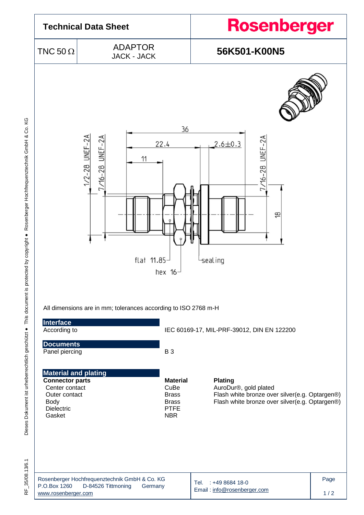

Dieses Dokument ist urheberrechtlich geschützt . This document is protected by copyright . Rosenberger Hochfrequenztechnik GmbH & Co. KG Dieses Dokument ist urheberrechtlich geschützt ● This document is protected by copyright ● Rosenberger Hochfrequenztechnik GmbH & Co. KG

RF 35/08.13/6.1 RF\_35/08.13/6.1